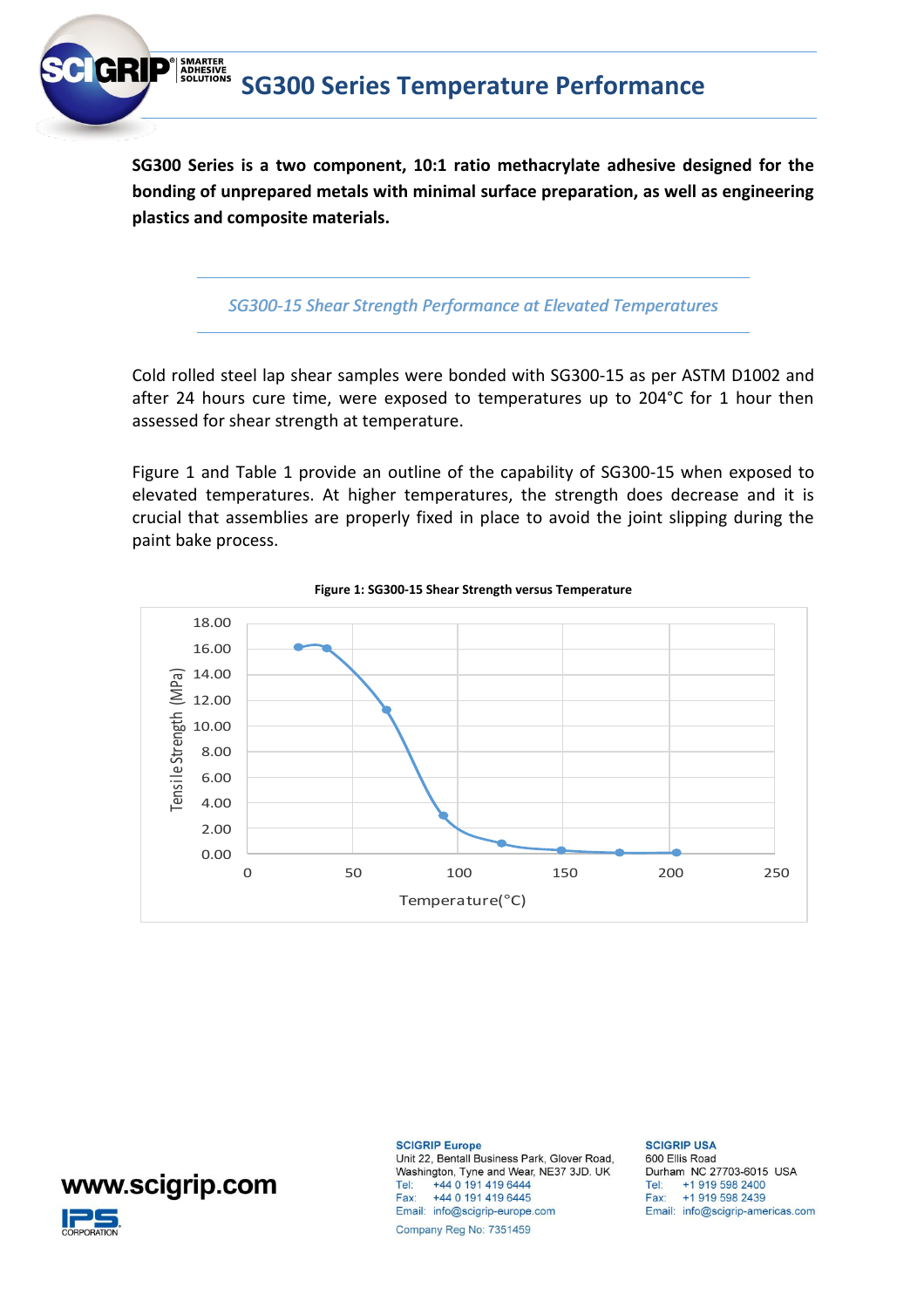

**SG300 Series is a two component, 10:1 ratio methacrylate adhesive designed for the bonding of unprepared metals with minimal surface preparation, as well as engineering plastics and composite materials.** 

*SG300-15 Shear Strength Performance at Elevated Temperatures*

Cold rolled steel lap shear samples were bonded with SG300-15 as per ASTM D1002 and after 24 hours cure time, were exposed to temperatures up to 204°C for 1 hour then assessed for shear strength at temperature.

Figure 1 and Table 1 provide an outline of the capability of SG300-15 when exposed to elevated temperatures. At higher temperatures, the strength does decrease and it is crucial that assemblies are properly fixed in place to avoid the joint slipping during the paint bake process.





## www.scigrip.com



**SCIGRIP Europe** 

Unit 22, Bentall Business Park, Glover Road, Washington, Tyne and Wear, NE37 3JD. UK +44 0 191 419 6444 Tel: Fax: +44 0 191 419 6445 Email: info@scigrip-europe.com Company Reg No: 7351459

## **SCIGRIP USA**

600 Ellis Road Durham NC 27703-6015 USA Tel: +1 919 598 2400 Fax: +1 919 598 2439 Email: info@scigrip-americas.com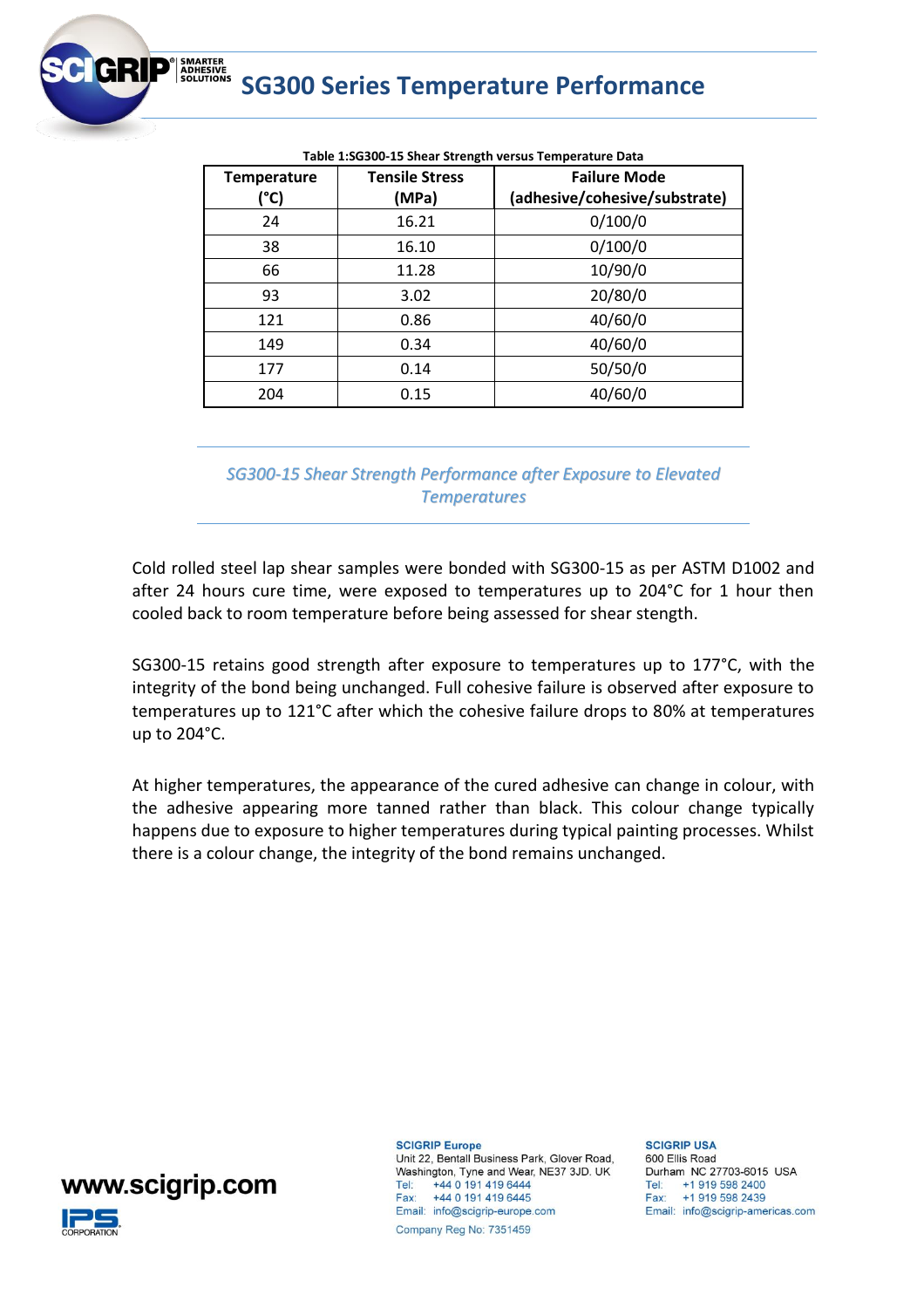

| <b>Temperature</b><br>(°C) | <b>Tensile Stress</b><br>(MPa) | <b>Failure Mode</b><br>(adhesive/cohesive/substrate) |
|----------------------------|--------------------------------|------------------------------------------------------|
| 24                         | 16.21                          | 0/100/0                                              |
| 38                         | 16.10                          | 0/100/0                                              |
| 66                         | 11.28                          | 10/90/0                                              |
| 93                         | 3.02                           | 20/80/0                                              |
| 121                        | 0.86                           | 40/60/0                                              |
| 149                        | 0.34                           | 40/60/0                                              |
| 177                        | 0.14                           | 50/50/0                                              |
| 204                        | 0.15                           | 40/60/0                                              |

**Table 1:SG300-15 Shear Strength versus Temperature Data**

*SG300-15 Shear Strength Performance after Exposure to Elevated Temperatures*

Cold rolled steel lap shear samples were bonded with SG300-15 as per ASTM D1002 and after 24 hours cure time, were exposed to temperatures up to 204°C for 1 hour then cooled back to room temperature before being assessed for shear stength.

SG300-15 retains good strength after exposure to temperatures up to 177°C, with the integrity of the bond being unchanged. Full cohesive failure is observed after exposure to temperatures up to 121°C after which the cohesive failure drops to 80% at temperatures up to 204°C.

At higher temperatures, the appearance of the cured adhesive can change in colour, with the adhesive appearing more tanned rather than black. This colour change typically happens due to exposure to higher temperatures during typical painting processes. Whilst there is a colour change, the integrity of the bond remains unchanged.



**SCIGRIP Europe** 

Unit 22, Bentall Business Park, Glover Road, Washington, Tyne and Wear, NE37 3JD. UK Tel: +44 0 191 419 6444 Fax: +44 0 191 419 6445 Email: info@scigrip-europe.com Company Reg No: 7351459

**SCIGRIP USA** 600 Ellis Road Durham NC 27703-6015 USA Tel: +1 919 598 2400 Fax: +1 919 598 2439 Email: info@scigrip-americas.com